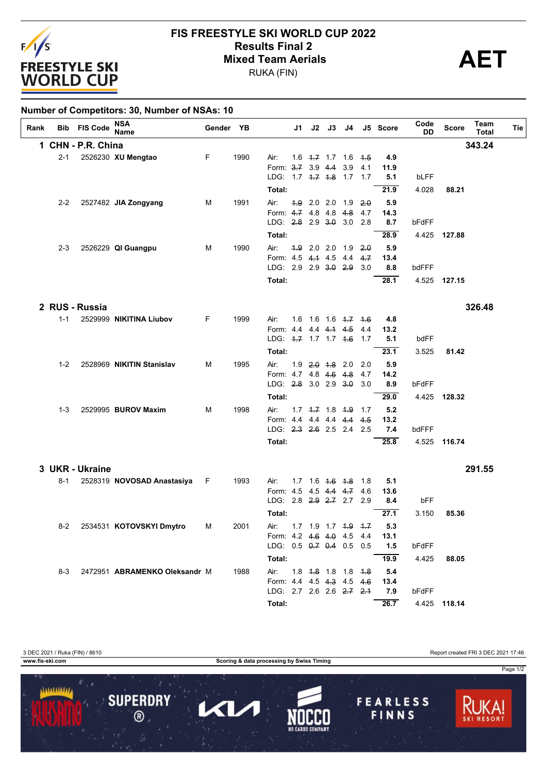

## **FIS FREESTYLE SKI WORLD CUP 2022 Results Final 2**<br> **Mixed Team Aerials**<br>
PUKA (FIN)

RUKA (FIN)

| Number of Competitors: 30, Number of NSAs: 10 |         |                     |                               |           |      |                                   |      |  |                         |                               |            |                   |              |              |                      |     |
|-----------------------------------------------|---------|---------------------|-------------------------------|-----------|------|-----------------------------------|------|--|-------------------------|-------------------------------|------------|-------------------|--------------|--------------|----------------------|-----|
| Rank                                          |         | <b>Bib FIS Code</b> | NSA<br><b>Name</b>            | Gender YB |      |                                   | J1 l |  |                         |                               |            | J2 J3 J4 J5 Score | Code<br>DD   | <b>Score</b> | Team<br><b>Total</b> | Tie |
|                                               |         | 1 CHN - P.R. China  |                               |           |      |                                   |      |  |                         |                               |            |                   |              |              | 343.24               |     |
|                                               | $2 - 1$ |                     | 2526230 XU Mengtao            | F         | 1990 | Air:                              |      |  | $1.6$ $4.7$ $1.7$ $1.6$ |                               | 4.5        | 4.9               |              |              |                      |     |
|                                               |         |                     |                               |           |      | Form: 3.7 3.9 4.4                 |      |  |                         | 3.9                           | 4.1        | 11.9              |              |              |                      |     |
|                                               |         |                     |                               |           |      | LDG: 1.7 4.7 4.8 1.7 1.7          |      |  |                         |                               |            | 5.1               | <b>bLFF</b>  |              |                      |     |
|                                               |         |                     |                               |           |      | Total:                            |      |  |                         |                               |            | 21.9              | 4.028        | 88.21        |                      |     |
|                                               | $2 - 2$ |                     | 2527482 JIA Zongyang          | М         | 1991 | Air:                              |      |  |                         | $4.9$ 2.0 2.0 1.9 2.0         |            | 5.9               |              |              |                      |     |
|                                               |         |                     |                               |           |      | Form: 4.7 4.8 4.8 4.8             |      |  |                         |                               | 4.7        | 14.3              |              |              |                      |     |
|                                               |         |                     |                               |           |      | LDG: 2.8 2.9 3.0 3.0 2.8          |      |  |                         |                               |            | 8.7               | bFdFF        |              |                      |     |
|                                               |         |                     |                               |           |      | Total:                            |      |  |                         |                               |            | 28.9              | 4.425        | 127.88       |                      |     |
|                                               | $2 - 3$ |                     | 2526229 QI Guangpu            | м         | 1990 | Air:                              |      |  |                         | $4.9$ 2.0 2.0 1.9 2.0         |            | 5.9               |              |              |                      |     |
|                                               |         |                     |                               |           |      | Form: 4.5 4.4 4.5 4.4             |      |  |                         |                               | 4.7        | 13.4              |              |              |                      |     |
|                                               |         |                     |                               |           |      | LDG: 2.9 2.9 3.0 2.9              |      |  |                         |                               | 3.0        | 8.8               | bdFFF        |              |                      |     |
|                                               |         |                     |                               |           |      | Total:                            |      |  |                         |                               |            | 28.1              |              | 4.525 127.15 |                      |     |
|                                               |         | 2 RUS - Russia      |                               |           |      |                                   |      |  |                         |                               |            |                   |              |              | 326.48               |     |
|                                               |         |                     |                               | F         | 1999 | Air:                              |      |  |                         | $1.6$ $1.6$ $1.6$ $1.7$ $1.6$ |            |                   |              |              |                      |     |
|                                               | $1 - 1$ |                     | 2529999 NIKITINA Liubov       |           |      | Form: 4.4 4.4 4.4 4.5             |      |  |                         |                               | 4.4        | 4.8<br>13.2       |              |              |                      |     |
|                                               |         |                     |                               |           |      | LDG: 4.7 1.7 1.7 4.6              |      |  |                         |                               | 1.7        | 5.1               | bdFF         |              |                      |     |
|                                               |         |                     |                               |           |      | Total:                            |      |  |                         |                               |            | 23.1              | 3.525        | 81.42        |                      |     |
|                                               |         |                     |                               |           |      |                                   |      |  |                         |                               |            |                   |              |              |                      |     |
|                                               | $1 - 2$ |                     | 2528969 NIKITIN Stanislav     | М         | 1995 | Air:<br>Form: 4.7 4.8 4.6 4.8     |      |  | $1.9$ $2.0$ $1.8$ 2.0   |                               | 2.0<br>4.7 | 5.9<br>14.2       |              |              |                      |     |
|                                               |         |                     |                               |           |      | LDG: 2.8 3.0 2.9 3.0              |      |  |                         |                               | 3.0        | 8.9               | bFdFF        |              |                      |     |
|                                               |         |                     |                               |           |      | Total:                            |      |  |                         |                               |            | 29.0              |              | 4.425 128.32 |                      |     |
|                                               |         |                     |                               |           |      |                                   |      |  |                         |                               |            |                   |              |              |                      |     |
|                                               | $1 - 3$ |                     | 2529995 BUROV Maxim           | м         | 1998 | Air:<br>Form: 44 44 44 44 45      |      |  |                         | $1.7$ $1.7$ $1.8$ $1.9$ $1.7$ |            | 5.2<br>13.2       |              |              |                      |     |
|                                               |         |                     |                               |           |      | LDG: 2.3 2.6 2.5 2.4 2.5          |      |  |                         |                               |            | 7.4               | bdFFF        |              |                      |     |
|                                               |         |                     |                               |           |      | Total:                            |      |  |                         |                               |            | 25.8              |              | 4.525 116.74 |                      |     |
|                                               |         |                     |                               |           |      |                                   |      |  |                         |                               |            |                   |              |              |                      |     |
|                                               |         | 3 UKR - Ukraine     |                               |           |      |                                   |      |  |                         |                               |            |                   |              |              | 291.55               |     |
|                                               | $8 - 1$ |                     | 2528319 NOVOSAD Anastasiya    | F.        | 1993 | Air:                              | 1.7  |  | $1.6$ $4.6$ $4.8$       |                               | -1.8       | 5.1               |              |              |                      |     |
|                                               |         |                     |                               |           |      | Form: 4.5                         |      |  |                         | 4.5 4.4 4.7                   | 4.6        | 13.6              |              |              |                      |     |
|                                               |         |                     |                               |           |      | LDG: 2.8 2.9 2.7 2.7<br>Total:    |      |  |                         |                               | 2.9        | 8.4<br>27.1       | bFF<br>3.150 | 85.36        |                      |     |
|                                               |         |                     |                               |           | 2001 |                                   |      |  |                         | 1.7 1.9 1.7 4.9 4.7           |            |                   |              |              |                      |     |
|                                               | 8-2     |                     | 2534531 KOTOVSKYI Dmytro      | М         |      | Air:<br>Form: 4.2 4.6 4.0 4.5 4.4 |      |  |                         |                               |            | 5.3<br>13.1       |              |              |                      |     |
|                                               |         |                     |                               |           |      | LDG: 0.5 0.7 0.4 0.5 0.5          |      |  |                         |                               |            | 1.5               | bFdFF        |              |                      |     |
|                                               |         |                     |                               |           |      | Total:                            |      |  |                         |                               |            | 19.9              | 4.425        | 88.05        |                      |     |
|                                               | $8-3$   |                     | 2472951 ABRAMENKO Oleksandr M |           | 1988 | Air:                              |      |  |                         | 1.8 4.8 1.8 1.8 4.8           |            | 5.4               |              |              |                      |     |
|                                               |         |                     |                               |           |      | Form: 4.4 4.5 4.3 4.5 4.6         |      |  |                         |                               |            | 13.4              |              |              |                      |     |
|                                               |         |                     |                               |           |      | LDG: 2.7 2.6 2.6 2.7 2.1          |      |  |                         |                               |            | 7.9               | bFdFF        |              |                      |     |
|                                               |         |                     |                               |           |      | Total:                            |      |  |                         |                               |            | 26.7              |              | 4.425 118.14 |                      |     |
|                                               |         |                     |                               |           |      |                                   |      |  |                         |                               |            |                   |              |              |                      |     |

3 DEC 2021 / Ruka (FIN) / 8610 Report created FRI 3 DEC 2021 17:46 **www.fis-ski.com Scoring & data processing by Swiss Timing** Page 1/2 1111111111 **SUPERDRY FEARLESS** 7  $\blacktriangleleft$ 

 $\overline{\circ}$ 

FINNS